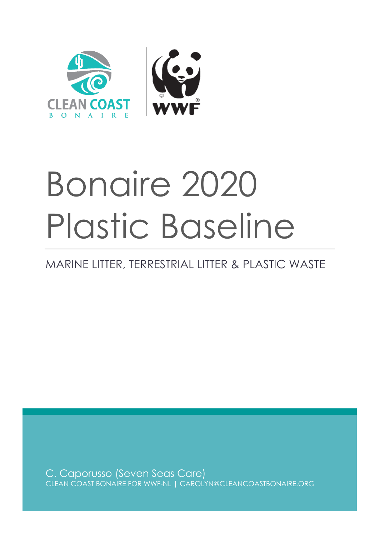

# Bonaire 2020 Plastic Baseline

# MARINE LITTER, TERRESTRIAL LITTER & PLASTIC WASTE

C. Caporusso (Seven Seas Care) CLEAN COAST BONAIRE FOR WWF-NL | CAROLYN@CLEANCOASTBONAIRE.ORG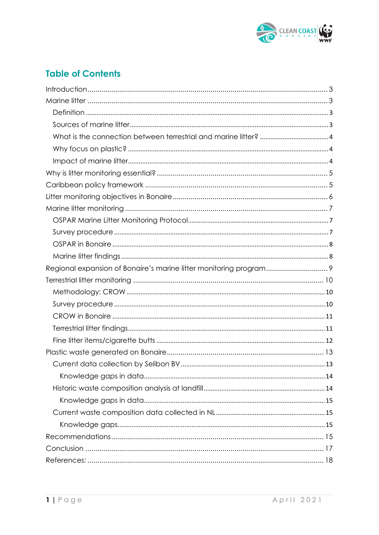

## **Table of Contents**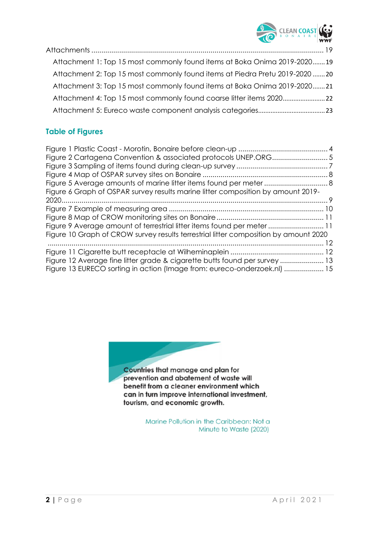

| Attachment 1: Top 15 most commonly found items at Boka Onima 2019-202019    |  |
|-----------------------------------------------------------------------------|--|
| Attachment 2: Top 15 most commonly found items at Piedra Pretu 2019-2020 20 |  |
| Attachment 3: Top 15 most commonly found items at Boka Onima 2019-202021    |  |
|                                                                             |  |
|                                                                             |  |

## **Table of Figures**

| Figure 6 Graph of OSPAR survey results marine litter composition by amount 2019-     |  |
|--------------------------------------------------------------------------------------|--|
|                                                                                      |  |
|                                                                                      |  |
|                                                                                      |  |
| Figure 9 Average amount of terrestrial litter items found per meter  11              |  |
| Figure 10 Graph of CROW survey results terrestrial litter composition by amount 2020 |  |
|                                                                                      |  |
|                                                                                      |  |
| Figure 12 Average fine litter grade & cigarette butts found per survey  13           |  |
| Figure 13 EURECO sorting in action (Image from: eureco-onderzoek.nl)  15             |  |
|                                                                                      |  |



Countries that manage and plan for prevention and abatement of waste will benefit from a cleaner environment which can in turn improve international investment, tourism, and economic growth.

> Marine Pollution in the Caribbean: Not a Minute to Waste (2020)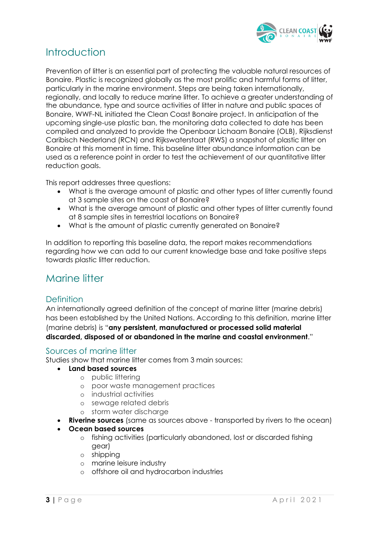

# <span id="page-3-0"></span>Introduction

Prevention of litter is an essential part of protecting the valuable natural resources of Bonaire. Plastic is recognized globally as the most prolific and harmful forms of litter, particularly in the marine environment. Steps are being taken internationally, regionally, and locally to reduce marine litter. To achieve a greater understanding of the abundance, type and source activities of litter in nature and public spaces of Bonaire, WWF-NL initiated the Clean Coast Bonaire project. In anticipation of the upcoming single-use plastic ban, the monitoring data collected to date has been compiled and analyzed to provide the Openbaar Lichaam Bonaire (OLB), Rijksdienst Caribisch Nederland (RCN) and Rijkswaterstaat (RWS) a snapshot of plastic litter on Bonaire at this moment in time. This baseline litter abundance information can be used as a reference point in order to test the achievement of our quantitative litter reduction goals.

This report addresses three questions:

- What is the average amount of plastic and other types of litter currently found at 3 sample sites on the coast of Bonaire?
- What is the average amount of plastic and other types of litter currently found at 8 sample sites in terrestrial locations on Bonaire?
- What is the amount of plastic currently generated on Bonaire?

In addition to reporting this baseline data, the report makes recommendations regarding how we can add to our current knowledge base and take positive steps towards plastic litter reduction.

## <span id="page-3-1"></span>Marine litter

#### <span id="page-3-2"></span>**Definition**

An internationally agreed definition of the concept of marine litter (marine debris) has been established by the United Nations. According to this definition, marine litter (marine debris) is "**any persistent, manufactured or processed solid material discarded, disposed of or abandoned in the marine and coastal environment**."

#### <span id="page-3-3"></span>Sources of marine litter

Studies show that marine litter comes from 3 main sources:

- **Land based sources**
	- o public littering
	- o poor waste management practices
	- o industrial activities
	- o sewage related debris
	- o storm water discharge
- **Riverine sources** (same as sources above transported by rivers to the ocean)
- **Ocean based sources**
	- o fishing activities (particularly abandoned, lost or discarded fishing gear)
	- o shipping
	- o marine leisure industry
	- o offshore oil and hydrocarbon industries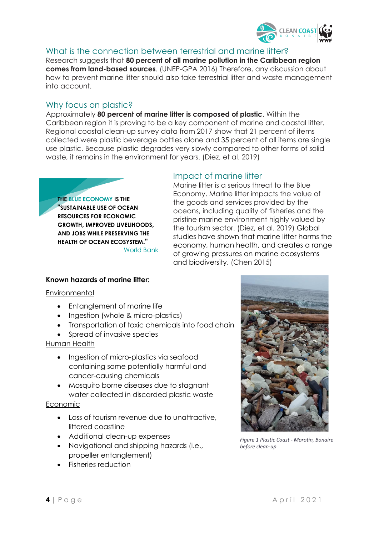

## <span id="page-4-0"></span>What is the connection between terrestrial and marine litter?

Research suggests that **80 percent of all marine pollution in the Caribbean region comes from land-based sources**. (UNEP-GPA 2016) Therefore, any discussion about how to prevent marine litter should also take terrestrial litter and waste management into account.

## <span id="page-4-1"></span>Why focus on plastic?

Approximately **80 percent of marine litter is composed of plastic**. Within the Caribbean region it is proving to be a key component of marine and coastal litter. Regional coastal clean-up survey data from 2017 show that 21 percent of items collected were plastic beverage bottles alone and 35 percent of all items are single use plastic. Because plastic degrades very slowly compared to other forms of solid waste, it remains in the environment for years. (Diez, et al. 2019)

#### **THE BLUE ECONOMY IS THE "SUSTAINABLE USE OF OCEAN RESOURCES FOR ECONOMIC GROWTH, IMPROVED LIVELIHOODS, AND JOBS WHILE PRESERVING THE HEALTH OF OCEAN ECOSYSTEM."** World Bank

#### <span id="page-4-2"></span>Impact of marine litter

Marine litter is a serious threat to the Blue Economy. Marine litter impacts the value of the goods and services provided by the oceans, including quality of fisheries and the pristine marine environment highly valued by the tourism sector. (Diez, et al. 2019) Global studies have shown that marine litter harms the economy, human health, and creates a range of growing pressures on marine ecosystems and biodiversity. (Chen 2015)

#### **Known hazards of marine litter:**

#### **Environmental**

- Entanglement of marine life
- Ingestion (whole & micro-plastics)
- Transportation of toxic chemicals into food chain
- Spread of invasive species

#### Human Health

- Ingestion of micro-plastics via seafood containing some potentially harmful and cancer-causing chemicals
- Mosquito borne diseases due to stagnant water collected in discarded plastic waste

#### Economic

- Loss of tourism revenue due to unattractive, littered coastline
- Additional clean-up expenses
- Navigational and shipping hazards (i.e., propeller entanglement)
- Fisheries reduction



*Figure 1 Plastic Coast - Morotin, Bonaire before clean-up*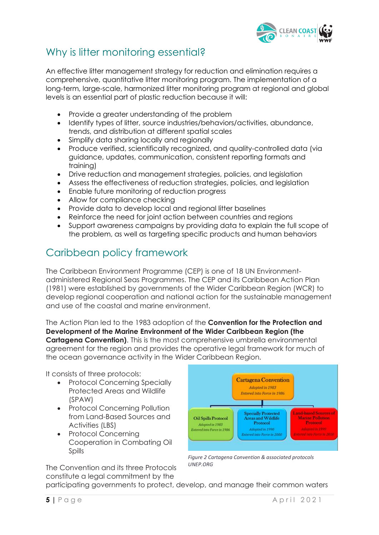

# <span id="page-5-0"></span>Why is litter monitoring essential?

An effective litter management strategy for reduction and elimination requires a comprehensive, quantitative litter monitoring program. The implementation of a long-term, large-scale, harmonized litter monitoring program at regional and global levels is an essential part of plastic reduction because it will:

- Provide a greater understanding of the problem
- Identify types of litter, source industries/behaviors/activities, abundance, trends, and distribution at different spatial scales
- Simplify data sharing locally and regionally
- Produce verified, scientifically recognized, and quality-controlled data (via guidance, updates, communication, consistent reporting formats and training)
- Drive reduction and management strategies, policies, and legislation
- Assess the effectiveness of reduction strategies, policies, and legislation
- Enable future monitoring of reduction progress
- Allow for compliance checking
- Provide data to develop local and regional litter baselines
- Reinforce the need for joint action between countries and regions
- Support awareness campaigns by providing data to explain the full scope of the problem, as well as targeting specific products and human behaviors

# <span id="page-5-1"></span>Caribbean policy framework

The Caribbean Environment Programme (CEP) is one of 18 UN Environmentadministered Regional Seas Programmes. The CEP and its Caribbean Action Plan (1981) were established by governments of the Wider Caribbean Region (WCR) to develop regional cooperation and national action for the sustainable management and use of the coastal and marine environment.

The Action Plan led to the 1983 adoption of the **Convention for the Protection and Development of the Marine Environment of the Wider Caribbean Region (the Cartagena Convention)**. This is the most comprehensive umbrella environmental agreement for the region and provides the operative legal framework for much of the ocean governance activity in the Wider Caribbean Region.

It consists of three protocols:

- Protocol Concerning Specially Protected Areas and Wildlife (SPAW)
- Protocol Concerning Pollution from Land-Based Sources and Activities (LBS)
- Protocol Concerning Cooperation in Combating Oil Spills



*Figure 2 Cartagena Convention & associated protocols UNEP.ORG*

The Convention and its three Protocols constitute a legal commitment by the

participating governments to protect, develop, and manage their common waters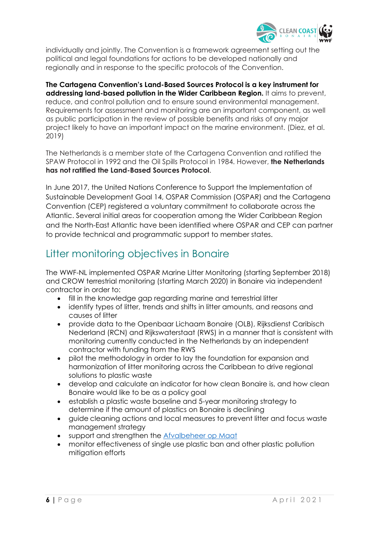

individually and jointly. The Convention is a framework agreement setting out the political and legal foundations for actions to be developed nationally and regionally and in response to the specific protocols of the Convention.

**The Cartagena Convention's Land-Based Sources Protocol is a key instrument for addressing land-based pollution in the Wider Caribbean Region.** It aims to prevent, reduce, and control pollution and to ensure sound environmental management. Requirements for assessment and monitoring are an important component, as well as public participation in the review of possible benefits and risks of any major project likely to have an important impact on the marine environment. (Diez, et al. 2019)

The Netherlands is a member state of the Cartagena Convention and ratified the SPAW Protocol in 1992 and the Oil Spills Protocol in 1984. However, **the Netherlands has not ratified the Land-Based Sources Protocol**.

In June 2017, the United Nations Conference to Support the Implementation of Sustainable Development Goal 14, OSPAR Commission (OSPAR) and the Cartagena Convention (CEP) registered a voluntary commitment to collaborate across the Atlantic. Several initial areas for cooperation among the Wider Caribbean Region and the North-East Atlantic have been identified where OSPAR and CEP can partner to provide technical and programmatic support to member states.

# <span id="page-6-0"></span>Litter monitoring objectives in Bonaire

The WWF-NL implemented OSPAR Marine Litter Monitoring (starting September 2018) and CROW terrestrial monitoring (starting March 2020) in Bonaire via independent contractor in order to:

- fill in the knowledge gap regarding marine and terrestrial litter
- identify types of litter, trends and shifts in litter amounts, and reasons and causes of litter
- provide data to the Openbaar Lichaam Bonaire (OLB), Rijksdienst Caribisch Nederland (RCN) and Rijkswaterstaat (RWS) in a manner that is consistent with monitoring currently conducted in the Netherlands by an independent contractor with funding from the RWS
- pilot the methodology in order to lay the foundation for expansion and harmonization of litter monitoring across the Caribbean to drive regional solutions to plastic waste
- develop and calculate an indicator for how clean Bonaire is, and how clean Bonaire would like to be as a policy goal
- establish a plastic waste baseline and 5-year monitoring strategy to determine if the amount of plastics on Bonaire is declining
- guide cleaning actions and local measures to prevent litter and focus waste management strategy
- support and strengthen the [Afvalbeheer op Maat](http://bonairegov.nl/sites/default/files/uploads/Rapport%20AFVALBEHEER%20OP%20MAAT%20zonder%20bijlagen.pdf)
- monitor effectiveness of single use plastic ban and other plastic pollution mitigation efforts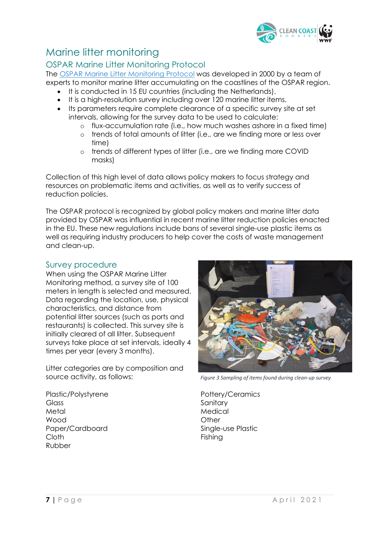

# <span id="page-7-0"></span>Marine litter monitoring

## <span id="page-7-1"></span>OSPAR Marine Litter Monitoring Protocol

The [OSPAR Marine Litter Monitoring Protocol](https://repository.oceanbestpractices.org/bitstream/handle/11329/1466/10-02e_beachlitter%20guideline_english%20only.pdf?sequence=1&isAllowed=y) was developed in 2000 by a team of experts to monitor marine litter accumulating on the coastlines of the OSPAR region.

- It is conducted in 15 EU countries (including the Netherlands).
- It is a high-resolution survey including over 120 marine litter items.
- Its parameters require complete clearance of a specific survey site at set intervals, allowing for the survey data to be used to calculate:
	- o flux-accumulation rate (i.e., how much washes ashore in a fixed time)
	- o trends of total amounts of litter (i.e., are we finding more or less over time)
	- o trends of different types of litter (i.e., are we finding more COVID masks)

Collection of this high level of data allows policy makers to focus strategy and resources on problematic items and activities, as well as to verify success of reduction policies.

The OSPAR protocol is recognized by global policy makers and marine litter data provided by OSPAR was influential in recent marine litter reduction policies enacted in the EU. These new regulations include bans of several single-use plastic items as well as requiring industry producers to help cover the costs of waste management and clean-up.

## <span id="page-7-2"></span>Survey procedure

When using the OSPAR Marine Litter Monitoring method, a survey site of 100 meters in length is selected and measured. Data regarding the location, use, physical characteristics, and distance from potential litter sources (such as ports and restaurants) is collected. This survey site is initially cleared of all litter. Subsequent surveys take place at set intervals, ideally 4 times per year (every 3 months).

Litter categories are by composition and source activity, as follows:



*Figure 3 Sampling of items found during clean-up survey*

Plastic/Polystyrene **Glass** Metal Wood Paper/Cardboard Cloth Rubber

Pottery/Ceramics **Sanitary** Medical **Other** Single-use Plastic Fishing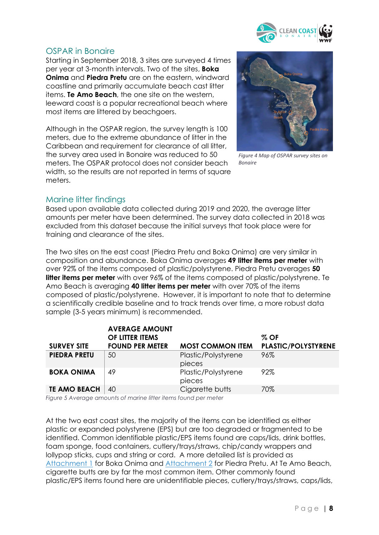

#### <span id="page-8-0"></span>OSPAR in Bonaire

Starting in September 2018, 3 sites are surveyed 4 times per year at 3-month intervals. Two of the sites, **Boka Onima** and **Piedra Pretu** are on the eastern, windward coastline and primarily accumulate beach cast litter items. **Te Amo Beach**, the one site on the western, leeward coast is a popular recreational beach where most items are littered by beachgoers.

Although in the OSPAR region, the survey length is 100 meters, due to the extreme abundance of litter in the Caribbean and requirement for clearance of all litter, the survey area used in Bonaire was reduced to 50 meters. The OSPAR protocol does not consider beach width, so the results are not reported in terms of square meters.



*Figure 4 Map of OSPAR survey sites on Bonaire*

#### <span id="page-8-1"></span>Marine litter findings

Based upon available data collected during 2019 and 2020, the average litter amounts per meter have been determined. The survey data collected in 2018 was excluded from this dataset because the initial surveys that took place were for training and clearance of the sites.

The two sites on the east coast (Piedra Pretu and Boka Onima) are very similar in composition and abundance. Boka Onima averages **49 litter items per meter** with over 92% of the items composed of plastic/polystyrene. Piedra Pretu averages **50 litter items per meter** with over 96% of the items composed of plastic/polystyrene. Te Amo Beach is averaging **40 litter items per meter** with over 70% of the items composed of plastic/polystyrene. However, it is important to note that to determine a scientifically credible baseline and to track trends over time, a more robust data sample (3-5 years minimum) is recommended.

|                     | <b>AVERAGE AMOUNT</b><br>OF LITTER ITEMS |                               | $\%$ OF                    |
|---------------------|------------------------------------------|-------------------------------|----------------------------|
| <b>SURVEY SITE</b>  | <b>FOUND PER METER</b>                   | <b>MOST COMMON ITEM</b>       | <b>PLASTIC/POLYSTYRENE</b> |
| <b>PIEDRA PRETU</b> | 50                                       | Plastic/Polystyrene<br>pieces | 96%                        |
| <b>BOKA ONIMA</b>   | 49                                       | Plastic/Polystyrene<br>pieces | 92%                        |
| <b>TE AMO BEACH</b> | 40                                       | Cigarette butts               | 70%                        |

<span id="page-8-2"></span>*Figure 5 Average amounts of marine litter items found per meter*

At the two east coast sites, the majority of the items can be identified as either plastic or expanded polystyrene (EPS) but are too degraded or fragmented to be identified. Common identifiable plastic/EPS items found are caps/lids, drink bottles, foam sponge, food containers, cutlery/trays/straws, chip/candy wrappers and lollypop sticks, cups and string or cord. A more detailed list is provided as [Attachment 1](#page-19-1) for Boka Onima and [Attachment 2](#page-20-0) for Piedra Pretu. At Te Amo Beach, cigarette butts are by far the most common item. Other commonly found plastic/EPS items found here are unidentifiable pieces, cutlery/trays/straws, caps/lids,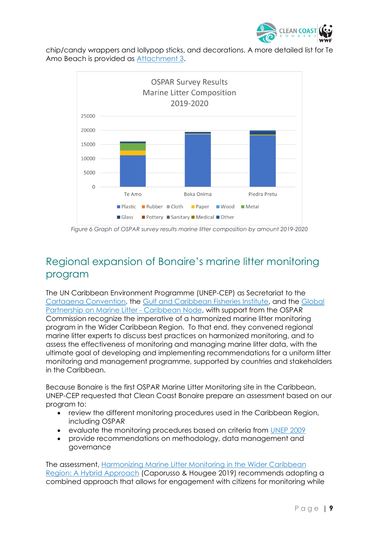

chip/candy wrappers and lollypop sticks, and decorations. A more detailed list for Te Amo Beach is provided as [Attachment 3.](#page-21-0)



<span id="page-9-1"></span>*Figure 6 Graph of OSPAR survey results marine litter composition by amount 2019-2020*

# <span id="page-9-0"></span>Regional expansion of Bonaire's marine litter monitoring program

The UN Caribbean Environment Programme (UNEP-CEP) as Secretariat to the [Cartagena Convention,](https://www.unenvironment.org/cep/es/node/23) the [Gulf and Caribbean Fisheries Institute,](https://www.gcfi.org/) and the [Global](https://gpml-caribe.org/)  [Partnership on Marine Litter -](https://gpml-caribe.org/) Caribbean Node, with support from the OSPAR Commission recognize the imperative of a harmonized marine litter monitoring program in the Wider Caribbean Region. To that end, they convened regional marine litter experts to discuss best practices on harmonized monitoring, and to assess the effectiveness of monitoring and managing marine litter data, with the ultimate goal of developing and implementing recommendations for a uniform litter monitoring and management programme, supported by countries and stakeholders in the Caribbean.

Because Bonaire is the first OSPAR Marine Litter Monitoring site in the Caribbean, UNEP-CEP requested that Clean Coast Bonaire prepare an assessment based on our program to:

- review the different monitoring procedures used in the Caribbean Region, including OSPAR
- evaluate the monitoring procedures based on criteria from [UNEP 2009](https://wedocs.unep.org/xmlui/handle/20.500.11822/13604)
- provide recommendations on methodology, data management and governance

The assessment, [Harmonizing Marine Litter Monitoring in the Wider Caribbean](https://wedocs.unep.org/handle/20.500.11822/27901)  [Region: A Hybrid Approach](https://wedocs.unep.org/handle/20.500.11822/27901) (Caporusso & Hougee 2019) recommends adopting a combined approach that allows for engagement with citizens for monitoring while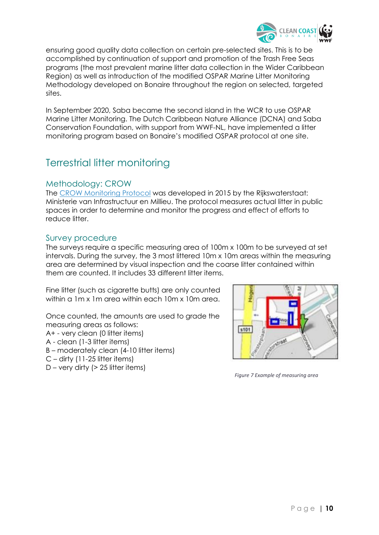

ensuring good quality data collection on certain pre-selected sites. This is to be accomplished by continuation of support and promotion of the Trash Free Seas programs (the most prevalent marine litter data collection in the Wider Caribbean Region) as well as introduction of the modified OSPAR Marine Litter Monitoring Methodology developed on Bonaire throughout the region on selected, targeted sites.

In September 2020, Saba became the second island in the WCR to use OSPAR Marine Litter Monitoring. The Dutch Caribbean Nature Alliance (DCNA) and Saba Conservation Foundation, with support from WWF-NL, have implemented a litter monitoring program based on Bonaire's modified OSPAR protocol at one site.

# <span id="page-10-0"></span>Terrestrial litter monitoring

#### <span id="page-10-1"></span>Methodology: CROW

The [CROW Monitoring Protocol](https://zwerfafval.rijkswaterstaat.nl/publish/pages/172416/monitoringprotocol_zwerfafval_2019_2020_1.pdf) was developed in 2015 by the Rijkswaterstaat: Ministerie van Infrastructuur en Millieu. The protocol measures actual litter in public spaces in order to determine and monitor the progress and effect of efforts to reduce litter.

#### <span id="page-10-2"></span>Survey procedure

The surveys require a specific measuring area of 100m x 100m to be surveyed at set intervals. During the survey, the 3 most littered 10m x 10m areas within the measuring area are determined by visual inspection and the coarse litter contained within them are counted. It includes 33 different litter items.

Fine litter (such as cigarette butts) are only counted within a 1m x 1m area within each 10m x 10m area.

Once counted, the amounts are used to grade the measuring areas as follows:

- A+ very clean (0 litter items)
- A clean (1-3 litter items)
- B moderately clean (4-10 litter items)
- $C$  dirty (11-25 litter items)
- $D$  very dirty ( $> 25$  litter items)



*Figure 7 Example of measuring area*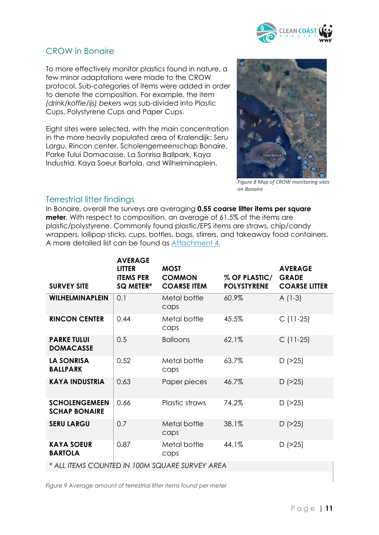

#### <span id="page-11-0"></span>CROW in Bonaire

To more effectively monitor plastics found in nature, a few minor adaptations were made to the CROW protocol. Sub-categories of items were added in order to denote the composition. For example, the item *(drink/koffie/ijs) bekers* was sub-divided into Plastic Cups, Polystyrene Cups and Paper Cups.

Eight sites were selected, with the main concentration in the more heavily populated area of Kralendijk: Seru Largu, Rincon center, Scholengemeenschap Bonaire, Parke Tului Domacasse, La Sonrisa Ballpark, Kaya Industria, Kaya Soeur Bartola, and Wilhelminaplein.



*Figure 8 Map of CROW monitoring sites on Bonaire*

#### <span id="page-11-1"></span>Terrestrial litter findings

In Bonaire, overall the surveys are averaging **0.55 coarse litter items per square meter**. With respect to composition, an average of 61.5% of the items are plastic/polystyrene. Commonly found plastic/EPS items are straws, chip/candy wrappers, lollipop sticks, cups, bottles, bags, stirrers, and takeaway food containers. A more detailed list can be found as [Attachment 4.](#page-22-0)

| <b>SURVEY SITE</b>                             | <b>AVERAGE</b><br><b>LITTER</b><br><b>ITEMS PER</b><br>SQ METER* | <b>MOST</b><br><b>COMMON</b><br><b>COARSE ITEM</b> | % OF PLASTIC/<br><b>POLYSTYRENE</b> | <b>AVERAGE</b><br><b>GRADE</b><br><b>COARSE LITTER</b> |
|------------------------------------------------|------------------------------------------------------------------|----------------------------------------------------|-------------------------------------|--------------------------------------------------------|
| <b>WILHELMINAPLEIN</b>                         | 0.1                                                              | Metal bottle<br>caps                               | 60.9%                               | $A(1-3)$                                               |
| <b>RINCON CENTER</b>                           | 0.44                                                             | Metal bottle<br>caps                               | 45.5%                               | $C(11-25)$                                             |
| <b>PARKE TULUI</b><br><b>DOMACASSE</b>         | 0.5                                                              | <b>Balloons</b>                                    | $62.1\%$                            | $C(11-25)$                                             |
| <b>LA SONRISA</b><br><b>BALLPARK</b>           | 0.52                                                             | Metal bottle<br>caps                               | 63.7%                               | $D$ ( $>25$ )                                          |
| <b>KAYA INDUSTRIA</b>                          | 0.63                                                             | Paper pieces                                       | 46.7%                               | $D$ ( $>25$ )                                          |
| <b>SCHOLENGEMEEN</b><br><b>SCHAP BONAIRE</b>   | 0.66                                                             | Plastic straws                                     | 74.2%                               | $D$ ( $>25$ )                                          |
| <b>SERU LARGU</b>                              | 0.7                                                              | Metal bottle<br>caps                               | 38.1%                               | $D$ ( $>25$ )                                          |
| <b>KAYA SOEUR</b><br><b>BARTOLA</b>            | 0.87                                                             | Metal bottle<br>caps                               | 44.1%                               | $D$ ( $>25$ )                                          |
| * ALL ITEMS COUNTED IN 100M SQUARE SURVEY AREA |                                                                  |                                                    |                                     |                                                        |

<span id="page-11-2"></span>*Figure 9 Average amount of terrestrial litter items found per meter*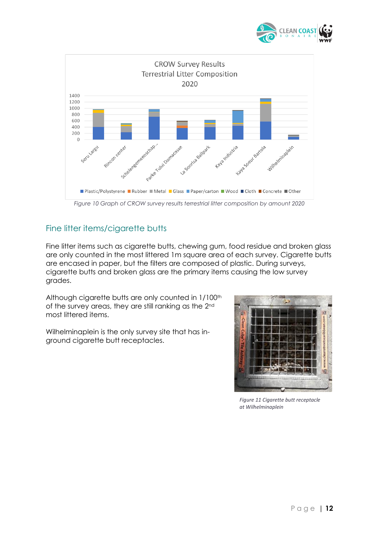



## <span id="page-12-1"></span><span id="page-12-0"></span>Fine litter items/cigarette butts

Fine litter items such as cigarette butts, chewing gum, food residue and broken glass are only counted in the most littered 1m square area of each survey. Cigarette butts are encased in paper, but the filters are composed of plastic. During surveys, cigarette butts and broken glass are the primary items causing the low survey grades.

Although cigarette butts are only counted in 1/100<sup>th</sup> of the survey areas, they are still ranking as the 2nd most littered items.

Wilhelminaplein is the only survey site that has inground cigarette butt receptacles.



*Figure 11 Cigarette butt receptacle at Wilhelminaplein*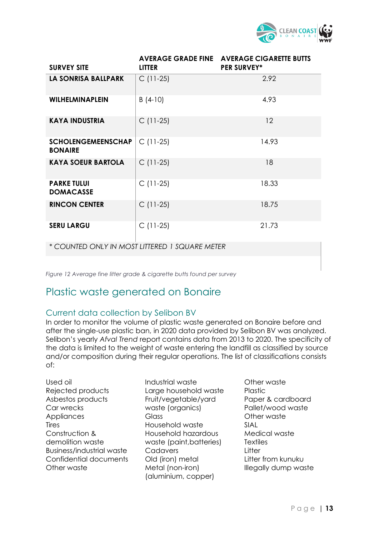

| <b>SURVEY SITE</b>                          | <b>LITTER</b> | <b>AVERAGE GRADE FINE AVERAGE CIGARETTE BUTTS</b><br><b>PER SURVEY*</b> |
|---------------------------------------------|---------------|-------------------------------------------------------------------------|
| LA SONRISA BALLPARK                         | $C(11-25)$    | 2.92                                                                    |
| <b>WILHELMINAPLEIN</b>                      | $B(4-10)$     | 4.93                                                                    |
| <b>KAYA INDUSTRIA</b>                       | $C(11-25)$    | 12                                                                      |
| <b>SCHOLENGEMEENSCHAP</b><br><b>BONAIRE</b> | $C(11-25)$    | 14.93                                                                   |
| <b>KAYA SOEUR BARTOLA</b>                   | $C(11-25)$    | 18                                                                      |
| <b>PARKE TULUI</b><br><b>DOMACASSE</b>      | $C(11-25)$    | 18.33                                                                   |
| <b>RINCON CENTER</b>                        | $C(11-25)$    | 18.75                                                                   |
| <b>SERU LARGU</b>                           | $C(11-25)$    | 21.73                                                                   |

*\* COUNTED ONLY IN MOST LITTERED 1 SQUARE METER* 

<span id="page-13-2"></span>*Figure 12 Average fine litter grade & cigarette butts found per survey*

# <span id="page-13-0"></span>Plastic waste generated on Bonaire

#### <span id="page-13-1"></span>Current data collection by Selibon BV

In order to monitor the volume of plastic waste generated on Bonaire before and after the single-use plastic ban, in 2020 data provided by Selibon BV was analyzed. Selibon's yearly *Afval Trend* report contains data from 2013 to 2020. The specificity of the data is limited to the weight of waste entering the landfill as classified by source and/or composition during their regular operations. The list of classifications consists of:

- Used oil Rejected products Asbestos products Car wrecks **Appliances Tires** Construction & demolition waste Business/industrial waste Confidential documents Other waste
- Industrial waste Large household waste Fruit/vegetable/yard waste (organics) Glass Household waste Household hazardous waste (paint,batteries) Cadavers Old (iron) metal Metal (non-iron) (aluminium, copper)
- Other waste Plastic Paper & cardboard Pallet/wood waste Other waste SIAL Medical waste **Textiles Litter** Litter from kunuku Illegally dump waste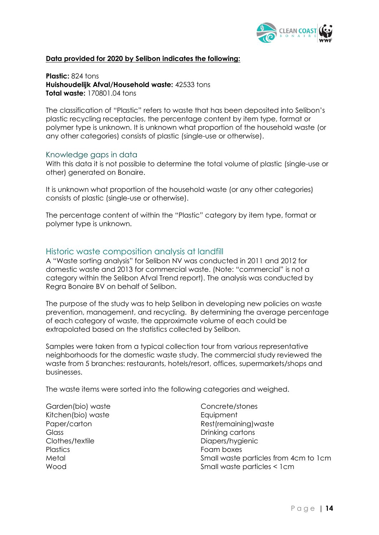

#### **Data provided for 2020 by Selibon indicates the following:**

**Plastic:** 824 tons **Huishoudelijk Afval/Household waste:** 42533 tons **Total waste:** 170801.04 tons

The classification of "Plastic" refers to waste that has been deposited into Selibon's plastic recycling receptacles, the percentage content by item type, format or polymer type is unknown. It is unknown what proportion of the household waste (or any other categories) consists of plastic (single-use or otherwise).

#### <span id="page-14-0"></span>Knowledge gaps in data

With this data it is not possible to determine the total volume of plastic (single-use or other) generated on Bonaire.

It is unknown what proportion of the household waste (or any other categories) consists of plastic (single-use or otherwise).

The percentage content of within the "Plastic" category by item type, format or polymer type is unknown.

#### <span id="page-14-1"></span>Historic waste composition analysis at landfill

A "Waste sorting analysis" for Selibon NV was conducted in 2011 and 2012 for domestic waste and 2013 for commercial waste. (Note: "commercial" is not a category within the Selibon Afval Trend report). The analysis was conducted by Regra Bonaire BV on behalf of Selibon.

The purpose of the study was to help Selibon in developing new policies on waste prevention, management, and recycling. By determining the average percentage of each category of waste, the approximate volume of each could be extrapolated based on the statistics collected by Selibon.

Samples were taken from a typical collection tour from various representative neighborhoods for the domestic waste study. The commercial study reviewed the waste from 5 branches: restaurants, hotels/resort, offices, supermarkets/shops and businesses.

The waste items were sorted into the following categories and weighed.

Garden(bio) waste Kitchen(bio) waste Paper/carton **Glass** Clothes/textile **Plastics** Metal Wood

Concrete/stones **Equipment** Rest(remaining)waste Drinking cartons Diapers/hygienic Foam boxes Small waste particles from 4cm to 1cm Small waste particles < 1cm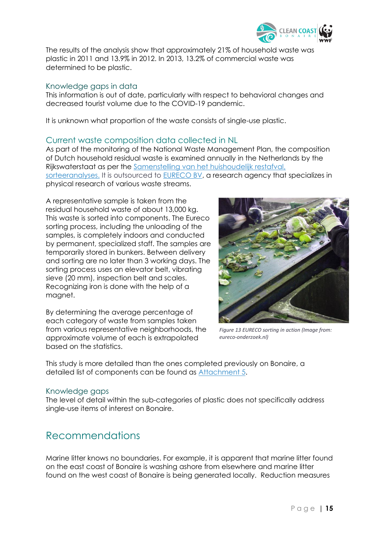

The results of the analysis show that approximately 21% of household waste was plastic in 2011 and 13.9% in 2012. In 2013, 13.2% of commercial waste was determined to be plastic.

#### <span id="page-15-0"></span>Knowledge gaps in data

This information is out of date, particularly with respect to behavioral changes and decreased tourist volume due to the COVID-19 pandemic.

It is unknown what proportion of the waste consists of single-use plastic.

#### <span id="page-15-1"></span>Current waste composition data collected in NL

As part of the monitoring of the National Waste Management Plan, the composition of Dutch household residual waste is examined annually in the Netherlands by the Rijkswaterstaat as per the [Samenstelling van het huishoudelijk restafval,](https://www.afvalcirculair.nl/onderwerpen/linkportaal/publicaties/downloads/downloads-0/samenstelling-7/)  [sorteeranalyses.](https://www.afvalcirculair.nl/onderwerpen/linkportaal/publicaties/downloads/downloads-0/samenstelling-7/) It is outsourced to **EURECO BV**, a research agency that specializes in

# physical research of various waste streams. A representative sample is taken from the residual household waste of about 13,000 kg.

This waste is sorted into components. The Eureco sorting process, including the unloading of the samples, is completely indoors and conducted by permanent, specialized staff. The samples are temporarily stored in bunkers. Between delivery and sorting are no later than 3 working days. The sorting process uses an elevator belt, vibrating sieve (20 mm), inspection belt and scales. Recognizing iron is done with the help of a magnet.

By determining the average percentage of each category of waste from samples taken from various representative neighborhoods, the approximate volume of each is extrapolated based on the statistics.



*Figure 13 EURECO sorting in action (Image from: eureco-onderzoek.nl)*

This study is more detailed than the ones completed previously on Bonaire, a detailed list of components can be found as [Attachment 5.](#page-23-0)

#### <span id="page-15-2"></span>Knowledge gaps

The level of detail within the sub-categories of plastic does not specifically address single-use items of interest on Bonaire.

# <span id="page-15-3"></span>Recommendations

Marine litter knows no boundaries. For example, it is apparent that marine litter found on the east coast of Bonaire is washing ashore from elsewhere and marine litter found on the west coast of Bonaire is being generated locally. Reduction measures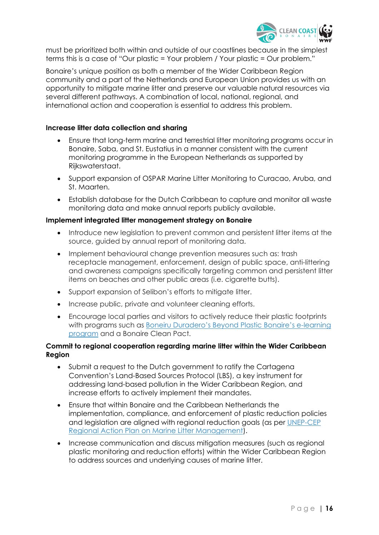

must be prioritized both within and outside of our coastlines because in the simplest terms this is a case of "Our plastic = Your problem / Your plastic = Our problem."

Bonaire's unique position as both a member of the Wider Caribbean Region community and a part of the Netherlands and European Union provides us with an opportunity to mitigate marine litter and preserve our valuable natural resources via several different pathways. A combination of local, national, regional, and international action and cooperation is essential to address this problem.

#### **Increase litter data collection and sharing**

- Ensure that long-term marine and terrestrial litter monitoring programs occur in Bonaire, Saba, and St. Eustatius in a manner consistent with the current monitoring programme in the European Netherlands as supported by Rijkswaterstaat.
- Support expansion of OSPAR Marine Litter Monitoring to Curacao, Aruba, and St. Maarten.
- Establish database for the Dutch Caribbean to capture and monitor all waste monitoring data and make annual reports publicly available.

#### **Implement integrated litter management strategy on Bonaire**

- Introduce new legislation to prevent common and persistent litter items at the source, guided by annual report of monitoring data.
- Implement behavioural change prevention measures such as: trash receptacle management, enforcement, design of public space, anti-littering and awareness campaigns specifically targeting common and persistent litter items on beaches and other public areas (i.e. cigarette butts).
- Support expansion of Selibon's efforts to mitigate litter.
- Increase public, private and volunteer cleaning efforts.
- Encourage local parties and visitors to actively reduce their plastic footprints with programs such as [Boneiru Duradero's Beyond Plastic Bonaire's e](https://onlinelearning.boneiruduradero.nl/)-learning [program](https://onlinelearning.boneiruduradero.nl/) and a Bonaire Clean Pact.

#### **Commit to regional cooperation regarding marine litter within the Wider Caribbean Region**

- Submit a request to the Dutch government to ratify the Cartagena Convention's Land-Based Sources Protocol (LBS), a key instrument for addressing land-based pollution in the Wider Caribbean Region, and increase efforts to actively implement their mandates.
- Ensure that within Bonaire and the Caribbean Netherlands the implementation, compliance, and enforcement of plastic reduction policies and legislation are aligned with regional reduction goals (as per [UNEP-CEP](https://wedocs.unep.org/handle/20.500.11822/33364)  [Regional Action Plan on Marine Litter Management\)](https://wedocs.unep.org/handle/20.500.11822/33364).
- Increase communication and discuss mitigation measures (such as regional plastic monitoring and reduction efforts) within the Wider Caribbean Region to address sources and underlying causes of marine litter.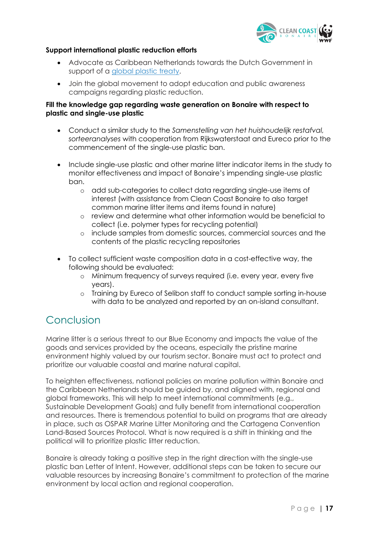

#### **Support international plastic reduction efforts**

- Advocate as Caribbean Netherlands towards the Dutch Government in support of a *global plastic treaty*.
- Join the global movement to adopt education and public awareness campaigns regarding plastic reduction.

#### **Fill the knowledge gap regarding waste generation on Bonaire with respect to plastic and single-use plastic**

- Conduct a similar study to the *Samenstelling van het huishoudelijk restafval, sorteeranalyses* with cooperation from Rijkswaterstaat and Eureco prior to the commencement of the single-use plastic ban.
- Include single-use plastic and other marine litter indicator items in the study to monitor effectiveness and impact of Bonaire's impending single-use plastic ban.
	- o add sub-categories to collect data regarding single-use items of interest (with assistance from Clean Coast Bonaire to also target common marine litter items and items found in nature)
	- o review and determine what other information would be beneficial to collect (i.e. polymer types for recycling potential)
	- o include samples from domestic sources, commercial sources and the contents of the plastic recycling repositories
- To collect sufficient waste composition data in a cost-effective way, the following should be evaluated:
	- o Minimum frequency of surveys required (i.e. every year, every five years).
	- o Training by Eureco of Selibon staff to conduct sample sorting in-house with data to be analyzed and reported by an on-island consultant.

# <span id="page-17-0"></span>Conclusion

Marine litter is a serious threat to our Blue Economy and impacts the value of the goods and services provided by the oceans, especially the pristine marine environment highly valued by our tourism sector. Bonaire must act to protect and prioritize our valuable coastal and marine natural capital.

To heighten effectiveness, national policies on marine pollution within Bonaire and the Caribbean Netherlands should be guided by, and aligned with, regional and global frameworks. This will help to meet international commitments (e.g., Sustainable Development Goals) and fully benefit from international cooperation and resources. There is tremendous potential to build on programs that are already in place, such as OSPAR Marine Litter Monitoring and the Cartagena Convention Land-Based Sources Protocol. What is now required is a shift in thinking and the political will to prioritize plastic litter reduction.

Bonaire is already taking a positive step in the right direction with the single-use plastic ban Letter of Intent. However, additional steps can be taken to secure our valuable resources by increasing Bonaire's commitment to protection of the marine environment by local action and regional cooperation.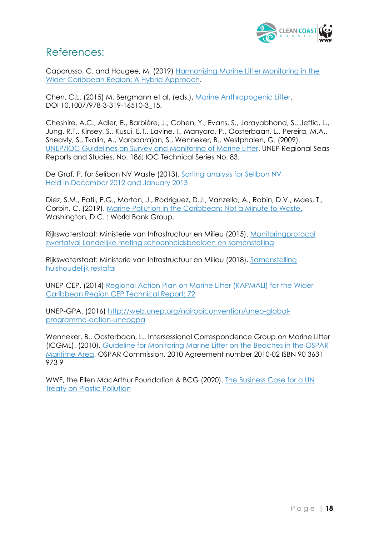

## <span id="page-18-0"></span>References:

Caporusso, C. and Hougee, M. (2019) [Harmonizing Marine Litter Monitoring in the](https://wedocs.unep.org/bitstream/handle/20.500.11822/27901/Marine_LitWCR-en.pdf?sequence=1&isAllowed=y)  [Wider Caribbean Region: A Hybrid Approach.](https://wedocs.unep.org/bitstream/handle/20.500.11822/27901/Marine_LitWCR-en.pdf?sequence=1&isAllowed=y)

Chen, C.L. (2015) M. Bergmann et al. (eds.), Marine Anthropogenic Litter, DOI 10.1007/978-3-319-16510-3\_15.

Cheshire, A.C., Adler, E., Barbière, J., Cohen, Y., Evans, S., Jarayabhand, S., Jeftic, L., Jung, R.T., Kinsey, S., Kusui, E.T., Lavine, I., Manyara, P., Oosterbaan, L., Pereira, M.A., Sheavly, S., Tkalin, A., Varadarajan, S., Wenneker, B., Westphalen, G. (2009). UNEP/IOC Guidelines on [Survey and Monitoring of Marine Litter.](https://wedocs.unep.org/xmlui/handle/20.500.11822/13604) UNEP Regional Seas Reports and Studies, No. 186; IOC Technical Series No. 83.

De Graf, P. for Selibon NV Waste (2013). Sorting analysis for Selibon NV Held in December 2012 and January 2013

Diez, S.M., Patil, P.G., Morton, J., Rodriguez, D.J., Vanzella, A., Robin, D.V., Maes, T., Corbin, C. (2019). [Marine Pollution in the Caribbean: Not a Minute to Waste.](https://www.unenvironment.org/cep/resources/publication/marine-pollution-caribbean-not-minute-waste#:~:text=Pollution%2C%20including%20marine%20litter%2C%20plastics,valued%20by%20the%20tourism%20sector.) Washington, D.C. : World Bank Group.

Rijkswaterstaat: Ministerie van Infrastructuur en Milieu (2015). [Monitoringprotocol](https://zwerfafval.rijkswaterstaat.nl/publish/pages/172416/monitoringprotocol_zwerfafval_2019_2020_1.pdf)  [zwerfafval Landelijke meting schoonheidsbeelden en samenstelling](https://zwerfafval.rijkswaterstaat.nl/publish/pages/172416/monitoringprotocol_zwerfafval_2019_2020_1.pdf)

Rijkswaterstaat: Ministerie van Infrastructuur en Milieu (2018). [Samenstelling](https://www.afvalcirculair.nl/publish/pages/162286/samenstelling_huishoudelijk_restafval_2018.pdf)  [huishoudelijk restafal](https://www.afvalcirculair.nl/publish/pages/162286/samenstelling_huishoudelijk_restafval_2018.pdf)

UNEP-CEP. (2014) Regional [Action Plan on Marine Litter \(RAPMALI\) for the Wider](https://wedocs.unep.org/handle/20.500.11822/33364)  [Caribbean Region CEP Technical Report: 72](https://wedocs.unep.org/handle/20.500.11822/33364)

UNEP-GPA. (2016) [http://web.unep.org/nairobiconvention/unep-global](http://web.unep.org/nairobiconvention/unep-global-programme-action-unepgpa)[programme-action-unepgpa](http://web.unep.org/nairobiconvention/unep-global-programme-action-unepgpa)

Wenneker, B., Oosterbaan, L., Intersessional Correspondence Group on Marine Litter (ICGML). (2010). [Guideline for Monitoring Marine Litter on the Beaches in the OSPAR](https://repository.oceanbestpractices.org/bitstream/handle/11329/1466/10-02e_beachlitter%20guideline_english%20only.pdf?sequence=1&isAllowed=y)  [Maritime Area.](https://repository.oceanbestpractices.org/bitstream/handle/11329/1466/10-02e_beachlitter%20guideline_english%20only.pdf?sequence=1&isAllowed=y) OSPAR Commission, 2010 Agreement number 2010-02 ISBN 90 3631 973 9

WWF, the Ellen MacArthur Foundation & BCG (2020). [The Business Case for a UN](https://lp.panda.org/plastic-pollution-report)  [Treaty on Plastic Pollution](https://lp.panda.org/plastic-pollution-report)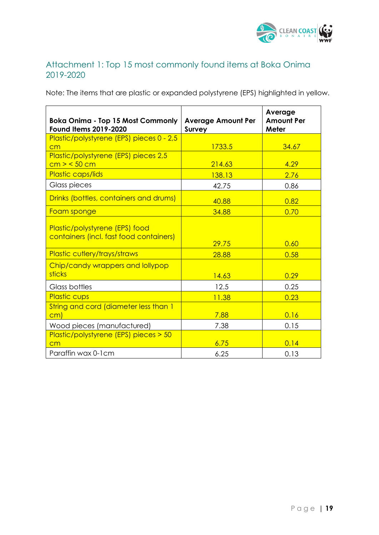

## <span id="page-19-1"></span><span id="page-19-0"></span>Attachment 1: Top 15 most commonly found items at Boka Onima 2019-2020

Note: The items that are plastic or expanded polystyrene (EPS) highlighted in yellow.

| <b>Boka Onima - Top 15 Most Commonly</b><br><b>Found Items 2019-2020</b>  | <b>Average Amount Per</b><br><b>Survey</b> | Average<br><b>Amount Per</b><br>Meter |
|---------------------------------------------------------------------------|--------------------------------------------|---------------------------------------|
| Plastic/polystyrene (EPS) pieces 0 - 2,5                                  |                                            |                                       |
| cm                                                                        | 1733.5                                     | 34.67                                 |
| Plastic/polystyrene (EPS) pieces 2,5<br>cm > 50 cm                        | 214.63                                     | 4.29                                  |
| Plastic caps/lids                                                         | 138.13                                     | 2.76                                  |
| Glass pieces                                                              | 42.75                                      | 0.86                                  |
| Drinks (bottles, containers and drums)                                    | 40.88                                      | 0.82                                  |
| Foam sponge                                                               | 34.88                                      | 0.70                                  |
| Plastic/polystyrene (EPS) food<br>containers (incl. fast food containers) | 29.75                                      | 0.60                                  |
| Plastic cutlery/trays/straws                                              | 28.88                                      | 0.58                                  |
| Chip/candy wrappers and lollypop<br>sticks                                | 14.63                                      | 0.29                                  |
| Glass bottles                                                             | 12.5                                       | 0.25                                  |
| <b>Plastic cups</b>                                                       | 11.38                                      | 0.23                                  |
| String and cord (diameter less than 1<br>$\mathsf{cm}$                    | 7.88                                       | 0.16                                  |
| Wood pieces (manufactured)                                                | 7.38                                       | 0.15                                  |
| Plastic/polystyrene (EPS) pieces > 50<br>cm                               | 6.75                                       | 0.14                                  |
| Paraffin wax 0-1cm                                                        | 6.25                                       | 0.13                                  |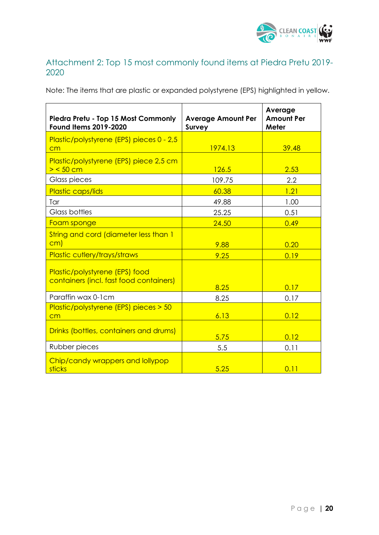

## <span id="page-20-0"></span>Attachment 2: Top 15 most commonly found items at Piedra Pretu 2019- 2020

Note: The items that are plastic or expanded polystyrene (EPS) highlighted in yellow.

| Piedra Pretu - Top 15 Most Commonly<br><b>Found Items 2019-2020</b>       | <b>Average Amount Per</b><br><b>Survey</b> | Average<br><b>Amount Per</b><br>Meter |
|---------------------------------------------------------------------------|--------------------------------------------|---------------------------------------|
| Plastic/polystyrene (EPS) pieces 0 - 2,5<br>cm                            | 1974.13                                    | 39.48                                 |
| Plastic/polystyrene (EPS) piece 2,5 cm<br>$>$ < 50 cm                     | 126.5                                      | 2.53                                  |
| Glass pieces                                                              | 109.75                                     | 2.2                                   |
| Plastic caps/lids                                                         | 60.38                                      | 1.21                                  |
| Tar                                                                       | 49.88                                      | 1.00                                  |
| Glass bottles                                                             | 25.25                                      | 0.51                                  |
| Foam sponge                                                               | 24.50                                      | 0.49                                  |
| String and cord (diameter less than 1<br>cm)                              | 9.88                                       | 0.20                                  |
| Plastic cutlery/trays/straws                                              | 9.25                                       | 0.19                                  |
| Plastic/polystyrene (EPS) food<br>containers (incl. fast food containers) | 8.25                                       | 0.17                                  |
| Paraffin wax 0-1 cm                                                       | 8.25                                       | 0.17                                  |
| Plastic/polystyrene (EPS) pieces > 50<br>cm                               | 6.13                                       | 0.12                                  |
| Drinks (bottles, containers and drums)                                    | 5.75                                       | 0.12                                  |
| Rubber pieces                                                             | 5.5                                        | 0.11                                  |
| Chip/candy wrappers and lollypop<br>sticks                                | 5.25                                       | 0.11                                  |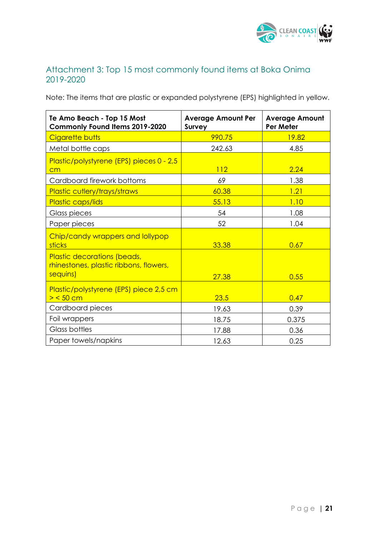

## <span id="page-21-0"></span>Attachment 3: Top 15 most commonly found items at Boka Onima 2019-2020

Note: The items that are plastic or expanded polystyrene (EPS) highlighted in yellow.

| Te Amo Beach - Top 15 Most<br>Commonly Found Items 2019-2020                      | <b>Average Amount Per</b><br><b>Survey</b> | <b>Average Amount</b><br>Per Meter |
|-----------------------------------------------------------------------------------|--------------------------------------------|------------------------------------|
| Cigarette butts                                                                   | 990.75                                     | 19.82                              |
| Metal bottle caps                                                                 | 242.63                                     | 4.85                               |
| Plastic/polystyrene (EPS) pieces 0 - 2,5<br>cm                                    | 112                                        | 2.24                               |
| Cardboard firework bottoms                                                        | 69                                         | 1.38                               |
| <b>Plastic cutlery/trays/straws</b>                                               | 60.38                                      | 1.21                               |
| Plastic caps/lids                                                                 | 55.13                                      | 1.10                               |
| Glass pieces                                                                      | 54                                         | 1.08                               |
| Paper pieces                                                                      | 52                                         | 1.04                               |
| Chip/candy wrappers and lollypop<br>sticks                                        | 33.38                                      | 0.67                               |
| Plastic decorations (beads,<br>rhinestones, plastic ribbons, flowers,<br>sequins) | 27.38                                      | 0.55                               |
| Plastic/polystyrene (EPS) piece 2,5 cm<br>$>$ < 50 cm                             | 23.5                                       | 0.47                               |
| Cardboard pieces                                                                  | 19.63                                      | 0.39                               |
| Foil wrappers                                                                     | 18.75                                      | 0.375                              |
| Glass bottles                                                                     | 17.88                                      | 0.36                               |
| Paper towels/napkins                                                              | 12.63                                      | 0.25                               |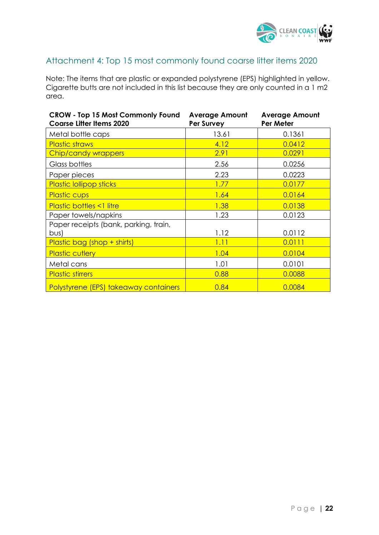

## <span id="page-22-0"></span>Attachment 4: Top 15 most commonly found coarse litter items 2020

Note: The items that are plastic or expanded polystyrene (EPS) highlighted in yellow. Cigarette butts are not included in this list because they are only counted in a 1 m2 area.

| <b>CROW - Top 15 Most Commonly Found</b><br><b>Coarse Litter Items 2020</b> | <b>Average Amount</b><br>Per Survey | <b>Average Amount</b><br>Per Meter |
|-----------------------------------------------------------------------------|-------------------------------------|------------------------------------|
| Metal bottle caps                                                           | 13.61                               | 0.1361                             |
| <b>Plastic straws</b>                                                       | 4.12                                | 0.0412                             |
| <b>Chip/candy wrappers</b>                                                  | 2.91                                | 0.0291                             |
| Glass bottles                                                               | 2.56                                | 0.0256                             |
| Paper pieces                                                                | 2.23                                | 0.0223                             |
| <b>Plastic lollipop sticks</b>                                              | 1.77                                | 0.0177                             |
| <b>Plastic cups</b>                                                         | 1.64                                | 0.0164                             |
| <b>Plastic bottles &lt;1 litre</b>                                          | 1.38                                | 0.0138                             |
| Paper towels/napkins                                                        | 1.23                                | 0.0123                             |
| Paper receipts (bank, parking, train,                                       |                                     |                                    |
| bus)                                                                        | 1.12                                | 0.0112                             |
| Plastic bag (shop + shirts)                                                 | 1.11                                | 0.0111                             |
| <b>Plastic cutlery</b>                                                      | 1.04                                | 0.0104                             |
| Metal cans                                                                  | 1.01                                | 0.0101                             |
| <b>Plastic stirrers</b>                                                     | 0.88                                | 0.0088                             |
| <b>Polystyrene (EPS) takeaway containers</b>                                | 0.84                                | 0.0084                             |